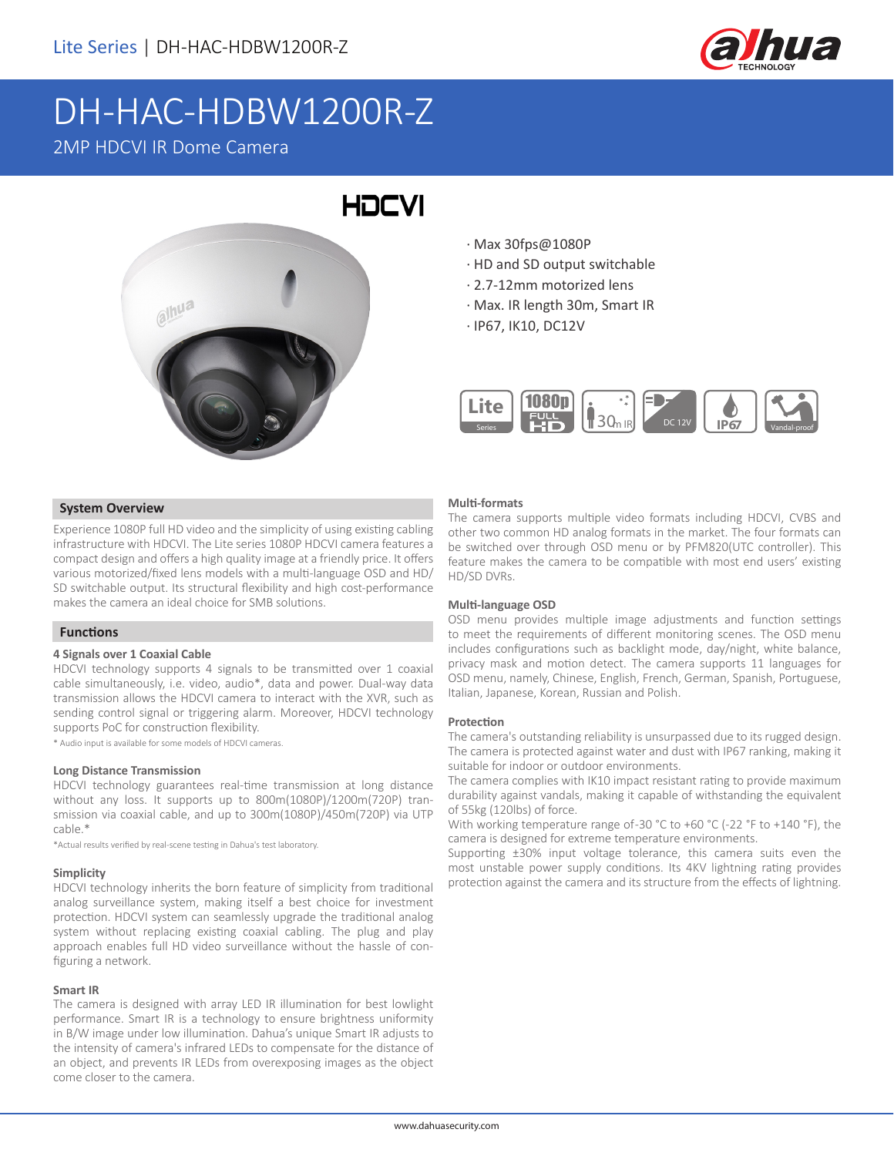

# DH-HAC-HDBW1200R-Z

# 2MP HDCVI IR Dome Camera



- · Max 30fps@1080P
- · HD and SD output switchable
- · 2.7-12mm motorized lens
- · Max. IR length 30m, Smart IR
- · IP67, IK10, DC12V



## **System Overview**

Experience 1080P full HD video and the simplicity of using existing cabling infrastructure with HDCVI. The Lite series 1080P HDCVI camera features a compact design and offers a high quality image at a friendly price. It offers various motorized/fixed lens models with a multi-language OSD and HD/ SD switchable output. Its structural flexibility and high cost-performance makes the camera an ideal choice for SMB solutions.

# **Functions**

#### **4 Signals over 1 Coaxial Cable**

HDCVI technology supports 4 signals to be transmitted over 1 coaxial cable simultaneously, i.e. video, audio\*, data and power. Dual-way data transmission allows the HDCVI camera to interact with the XVR, such as sending control signal or triggering alarm. Moreover, HDCVI technology supports PoC for construction flexibility.

\* Audio input is available for some models of HDCVI cameras.

#### **Long Distance Transmission**

HDCVI technology guarantees real-time transmission at long distance without any loss. It supports up to 800m(1080P)/1200m(720P) transmission via coaxial cable, and up to 300m(1080P)/450m(720P) via UTP cable.\*

\*Actual results verified by real-scene testing in Dahua's test laboratory.

#### **Simplicity**

HDCVI technology inherits the born feature of simplicity from traditional analog surveillance system, making itself a best choice for investment protection. HDCVI system can seamlessly upgrade the traditional analog system without replacing existing coaxial cabling. The plug and play approach enables full HD video surveillance without the hassle of configuring a network.

#### **Smart IR**

The camera is designed with array LED IR illumination for best lowlight performance. Smart IR is a technology to ensure brightness uniformity in B/W image under low illumination. Dahua's unique Smart IR adjusts to the intensity of camera's infrared LEDs to compensate for the distance of an object, and prevents IR LEDs from overexposing images as the object come closer to the camera.

#### **Multi-formats**

The camera supports multiple video formats including HDCVI, CVBS and other two common HD analog formats in the market. The four formats can be switched over through OSD menu or by PFM820(UTC controller). This feature makes the camera to be compatible with most end users' existing HD/SD DVRs.

#### **Multi-language OSD**

OSD menu provides multiple image adjustments and function settings to meet the requirements of different monitoring scenes. The OSD menu includes configurations such as backlight mode, day/night, white balance, privacy mask and motion detect. The camera supports 11 languages for OSD menu, namely, Chinese, English, French, German, Spanish, Portuguese, Italian, Japanese, Korean, Russian and Polish.

#### **Protection**

The camera's outstanding reliability is unsurpassed due to its rugged design. The camera is protected against water and dust with IP67 ranking, making it suitable for indoor or outdoor environments.

The camera complies with IK10 impact resistant rating to provide maximum durability against vandals, making it capable of withstanding the equivalent of 55kg (120lbs) of force.

With working temperature range of-30 °C to +60 °C (-22 °F to +140 °F), the camera is designed for extreme temperature environments.

Supporting ±30% input voltage tolerance, this camera suits even the most unstable power supply conditions. Its 4KV lightning rating provides protection against the camera and its structure from the effects of lightning.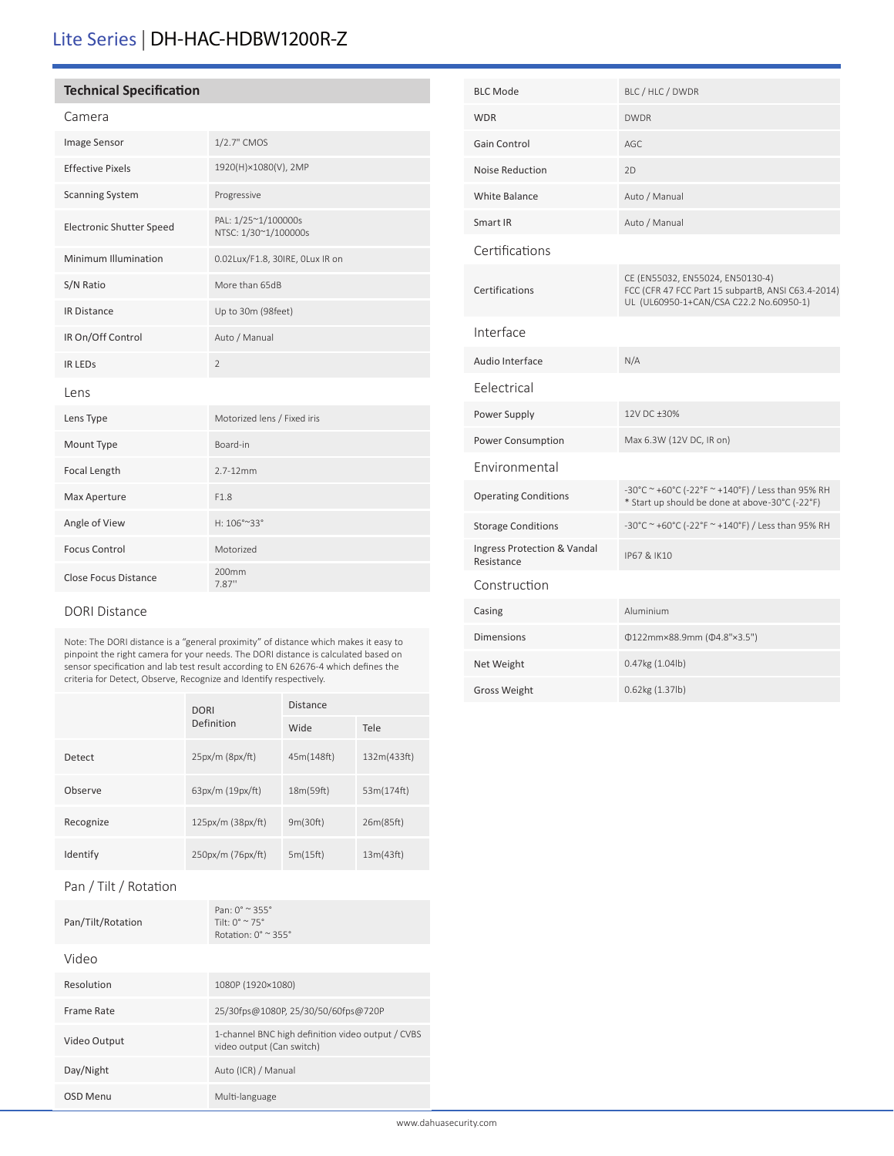# Lite Series | DH-HAC-HDBW1200R-Z

# **Technical Specification**

# Camera

| Image Sensor             | 1/2.7" CMOS                                 |
|--------------------------|---------------------------------------------|
| <b>Effective Pixels</b>  | 1920(H)×1080(V), 2MP                        |
| <b>Scanning System</b>   | Progressive                                 |
| Electronic Shutter Speed | PAL: 1/25~1/100000s<br>NTSC: 1/30~1/100000s |
| Minimum Illumination     | 0.02Lux/F1.8, 30IRE, OLux IR on             |
| S/N Ratio                | More than 65dB                              |
| <b>IR Distance</b>       | Up to 30m (98feet)                          |
| IR On/Off Control        | Auto / Manual                               |
| <b>IR LEDS</b>           | $\overline{2}$                              |
| Lens                     |                                             |
| Lens Type                | Motorized lens / Fixed iris                 |
| Mount Type               | Board-in                                    |
| Focal Length             | $2.7 - 12$ mm                               |
| Max Aperture             | F1.8                                        |
| Angle of View            | H: 106°~33°                                 |
| <b>Focus Control</b>     | Motorized                                   |
| Close Focus Distance     | 200mm<br>7.87"                              |

## DORI Distance

Note: The DORI distance is a "general proximity" of distance which makes it easy to pinpoint the right camera for your needs. The DORI distance is calculated based on sensor specification and lab test result according to EN 62676-4 which defines the criteria for Detect, Observe, Recognize and Identify respectively.

|           | <b>DORI</b><br>Definition | <b>Distance</b> |             |
|-----------|---------------------------|-----------------|-------------|
|           |                           | Wide            | Tele        |
| Detect    | $25px/m$ ( $8px/ft$ )     | 45m(148ft)      | 132m(433ft) |
| Observe   | 63px/m (19px/ft)          | 18m(59ft)       | 53m(174ft)  |
| Recognize | 125px/m (38px/ft)         | 9m(30ft)        | 26m(85ft)   |
| Identify  | 250px/m (76px/ft)         | 5m(15ft)        | 13m(43ft)   |

## Pan / Tilt / Rotation

| Pan/Tilt/Rotation | Pan: $0^{\circ} \approx 355^{\circ}$<br>Tilt: $0^{\circ} \approx 75^{\circ}$<br>Rotation: $0^\circ \approx 355^\circ$ |
|-------------------|-----------------------------------------------------------------------------------------------------------------------|
| Video             |                                                                                                                       |
| Resolution        | 1080P (1920×1080)                                                                                                     |
| Frame Rate        | 25/30fps@1080P, 25/30/50/60fps@720P                                                                                   |
| Video Output      | 1-channel BNC high definition video output / CVBS<br>video output (Can switch)                                        |
| Day/Night         | Auto (ICR) / Manual                                                                                                   |
| OSD Menu          | Multi-language                                                                                                        |

| <b>BLC Mode</b>                           | BLC / HLC / DWDR                                                                                                                  |
|-------------------------------------------|-----------------------------------------------------------------------------------------------------------------------------------|
| <b>WDR</b>                                | <b>DWDR</b>                                                                                                                       |
| Gain Control                              | AGC.                                                                                                                              |
| Noise Reduction                           | 2D                                                                                                                                |
| <b>White Balance</b>                      | Auto / Manual                                                                                                                     |
| Smart IR                                  | Auto / Manual                                                                                                                     |
| Certifications                            |                                                                                                                                   |
| Certifications                            | CE (EN55032, EN55024, EN50130-4)<br>FCC (CFR 47 FCC Part 15 subpartB, ANSI C63.4-2014)<br>UL (UL60950-1+CAN/CSA C22.2 No.60950-1) |
| Interface                                 |                                                                                                                                   |
| Audio Interface                           | N/A                                                                                                                               |
| Felectrical                               |                                                                                                                                   |
| Power Supply                              | 12V DC +30%                                                                                                                       |
| Power Consumption                         | Max 6.3W (12V DC, IR on)                                                                                                          |
| Environmental                             |                                                                                                                                   |
| <b>Operating Conditions</b>               | -30°C ~ +60°C (-22°F ~ +140°F) / Less than 95% RH<br>* Start up should be done at above-30°C (-22°F)                              |
| <b>Storage Conditions</b>                 | -30°C ~ +60°C (-22°F ~ +140°F) / Less than 95% RH                                                                                 |
| Ingress Protection & Vandal<br>Resistance | IP67 & IK10                                                                                                                       |
| Construction                              |                                                                                                                                   |
| Casing                                    | Aluminium                                                                                                                         |
| Dimensions                                | Φ122mm×88.9mm (Φ4.8"×3.5")                                                                                                        |
| Net Weight                                | 0.47kg (1.04lb)                                                                                                                   |
| <b>Gross Weight</b>                       | 0.62kg (1.37lb)                                                                                                                   |